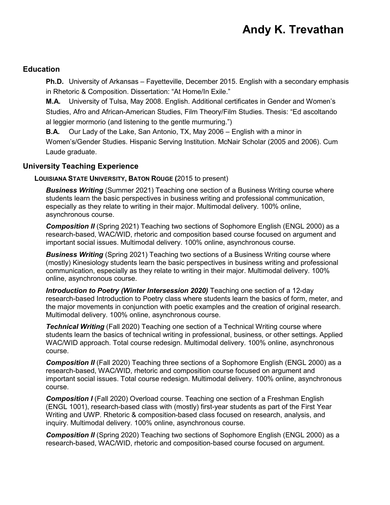## **Andy K. Trevathan**

#### **Education**

 **Ph.D.** University of Arkansas – Fayetteville, December 2015. English with a secondary emphasis in Rhetoric & Composition. Dissertation: "At Home/In Exile."

 **M.A.** University of Tulsa, May 2008. English. Additional certificates in Gender and Women's al leggier mormorio (and listening to the gentle murmuring.") Studies, Afro and African-American Studies, Film Theory/Film Studies. Thesis: "Ed ascoltando

 **B.A.** Our Lady of the Lake, San Antonio, TX, May 2006 – English with a minor in Women's/Gender Studies. Hispanic Serving Institution. McNair Scholar (2005 and 2006). Cum Laude graduate.

#### **University Teaching Experience**

#### **LOUISIANA STATE UNIVERSITY, BATON ROUGE (**2015 to present)

 especially as they relate to writing in their major. Multimodal delivery. 100% online, *Business Writing* (Summer 2021) Teaching one section of a Business Writing course where students learn the basic perspectives in business writing and professional communication, asynchronous course.

 important social issues. Multimodal delivery. 100% online, asynchronous course. **Composition II** (Spring 2021) Teaching two sections of Sophomore English (ENGL 2000) as a research-based, WAC/WID, rhetoric and composition based course focused on argument and

 *Business Writing* (Spring 2021) Teaching two sections of a Business Writing course where (mostly) Kinesiology students learn the basic perspectives in business writing and professional communication, especially as they relate to writing in their major. Multimodal delivery. 100% online, asynchronous course.

**Introduction to Poetry (Winter Intersession 2020)** Teaching one section of a 12-day research-based Introduction to Poetry class where students learn the basics of form, meter, and the major movements in conjunction with poetic examples and the creation of original research. Multimodal delivery. 100% online, asynchronous course.

 *Technical Writing* (Fall 2020) Teaching one section of a Technical Writing course where students learn the basics of technical writing in professional, business, or other settings. Applied WAC/WID approach. Total course redesign. Multimodal delivery. 100% online, asynchronous course.

 *Composition II* (Fall 2020) Teaching three sections of a Sophomore English (ENGL 2000) as a research-based, WAC/WID, rhetoric and composition course focused on argument and important social issues. Total course redesign. Multimodal delivery. 100% online, asynchronous course.

**Composition I** (Fall 2020) Overload course. Teaching one section of a Freshman English (ENGL 1001), research-based class with (mostly) first-year students as part of the First Year Writing and UWP. Rhetoric & composition-based class focused on research, analysis, and inquiry. Multimodal delivery. 100% online, asynchronous course.

 research-based, WAC/WID, rhetoric and composition-based course focused on argument. **Composition II** (Spring 2020) Teaching two sections of Sophomore English (ENGL 2000) as a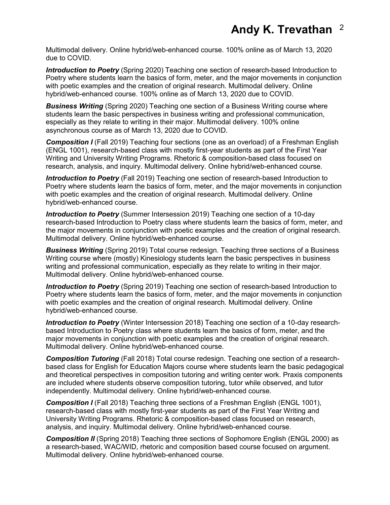Multimodal delivery. Online hybrid/web-enhanced course. 100% online as of March 13, 2020 due to COVID.

**Introduction to Poetry** (Spring 2020) Teaching one section of research-based Introduction to Poetry where students learn the basics of form, meter, and the major movements in conjunction with poetic examples and the creation of original research. Multimodal delivery. Online hybrid/web-enhanced course. 100% online as of March 13, 2020 due to COVID.

 especially as they relate to writing in their major. Multimodal delivery. 100% online *Business Writing* (Spring 2020) Teaching one section of a Business Writing course where students learn the basic perspectives in business writing and professional communication, asynchronous course as of March 13, 2020 due to COVID.

 Writing and University Writing Programs. Rhetoric & composition-based class focused on **Composition I** (Fall 2019) Teaching four sections (one as an overload) of a Freshman English (ENGL 1001), research-based class with mostly first-year students as part of the First Year research, analysis, and inquiry. Multimodal delivery. Online hybrid/web-enhanced course.

 *Introduction to Poetry* (Fall 2019) Teaching one section of research-based Introduction to Poetry where students learn the basics of form, meter, and the major movements in conjunction with poetic examples and the creation of original research. Multimodal delivery. Online hybrid/web-enhanced course.

*Introduction to Poetry* (Summer Intersession 2019) Teaching one section of a 10-day research-based Introduction to Poetry class where students learn the basics of form, meter, and the major movements in conjunction with poetic examples and the creation of original research. Multimodal delivery. Online hybrid/web-enhanced course.

 *Business Writing* (Spring 2019) Total course redesign. Teaching three sections of a Business Writing course where (mostly) Kinesiology students learn the basic perspectives in business writing and professional communication, especially as they relate to writing in their major. Multimodal delivery. Online hybrid/web-enhanced course.

**Introduction to Poetry** (Spring 2019) Teaching one section of research-based Introduction to Poetry where students learn the basics of form, meter, and the major movements in conjunction with poetic examples and the creation of original research. Multimodal delivery. Online hybrid/web-enhanced course.

*Introduction to Poetry* (Winter Intersession 2018) Teaching one section of a 10-day researchbased Introduction to Poetry class where students learn the basics of form, meter, and the major movements in conjunction with poetic examples and the creation of original research. Multimodal delivery. Online hybrid/web-enhanced course.

 based class for English for Education Majors course where students learn the basic pedagogical *Composition Tutoring* (Fall 2018) Total course redesign. Teaching one section of a researchand theoretical perspectives in composition tutoring and writing center work. Praxis components are included where students observe composition tutoring, tutor while observed, and tutor independently. Multimodal delivery. Online hybrid/web-enhanced course.

**Composition I** (Fall 2018) Teaching three sections of a Freshman English (ENGL 1001), research-based class with mostly first-year students as part of the First Year Writing and University Writing Programs. Rhetoric & composition-based class focused on research, analysis, and inquiry. Multimodal delivery. Online hybrid/web-enhanced course.

 Multimodal delivery. Online hybrid/web-enhanced course. **Composition II** (Spring 2018) Teaching three sections of Sophomore English (ENGL 2000) as a research-based, WAC/WID, rhetoric and composition based course focused on argument.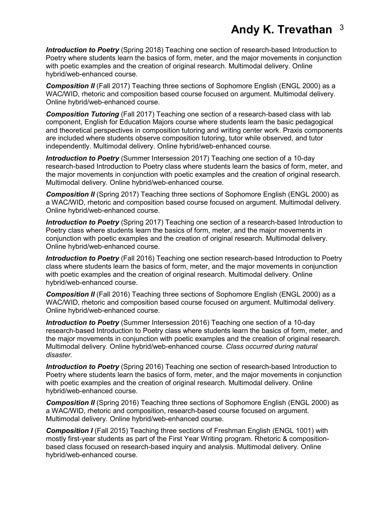### **Andy K. Trevathan** <sup>3</sup>

*Introduction to Poetry* (Spring 2018) Teaching one section of research-based Introduction to Poetry where students learn the basics of form, meter, and the major movements in conjunction with poetic examples and the creation of original research. Multimodal delivery. Online hybrid/web-enhanced course.

 Online hybrid/web-enhanced course. **Composition II** (Fall 2017) Teaching three sections of Sophomore English (ENGL 2000) as a WAC/WID, rhetoric and composition based course focused on argument. Multimodal delivery.

*Composition Tutoring* (Fall 2017) Teaching one section of a research-based class with lab component, English for Education Majors course where students learn the basic pedagogical and theoretical perspectives in composition tutoring and writing center work. Praxis components are included where students observe composition tutoring, tutor while observed, and tutor independently. Multimodal delivery. Online hybrid/web-enhanced course.

*Introduction to Poetry* (Summer Intersession 2017) Teaching one section of a 10-day research-based Introduction to Poetry class where students learn the basics of form, meter, and the major movements in conjunction with poetic examples and the creation of original research. Multimodal delivery. Online hybrid/web-enhanced course.

 Online hybrid/web-enhanced course. **Composition II** (Spring 2017) Teaching three sections of Sophomore English (ENGL 2000) as a WAC/WID, rhetoric and composition based course focused on argument. Multimodal delivery.

 Poetry class where students learn the basics of form, meter, and the major movements in *Introduction to Poetry (Spring 2017)* Teaching one section of a research-based Introduction to conjunction with poetic examples and the creation of original research. Multimodal delivery. Online hybrid/web-enhanced course.

*Introduction to Poetry* (Fall 2016) Teaching one section research-based Introduction to Poetry class where students learn the basics of form, meter, and the major movements in conjunction with poetic examples and the creation of original research. Multimodal delivery. Online hybrid/web-enhanced course.

 *Composition II* (Fall 2016) Teaching three sections of Sophomore English (ENGL 2000) as a  Online hybrid/web-enhanced course. WAC/WID, rhetoric and composition based course focused on argument. Multimodal delivery.

 *Introduction to Poetry* (Summer Intersession 2016) Teaching one section of a 10-day research-based Introduction to Poetry class where students learn the basics of form, meter, and the major movements in conjunction with poetic examples and the creation of original research. Multimodal delivery. Online hybrid/web-enhanced course. *Class occurred during natural disaster.* 

**Introduction to Poetry** (Spring 2016) Teaching one section of research-based Introduction to Poetry where students learn the basics of form, meter, and the major movements in conjunction with poetic examples and the creation of original research. Multimodal delivery. Online hybrid/web-enhanced course.

 *Composition II* (Spring 2016) Teaching three sections of Sophomore English (ENGL 2000) as  Multimodal delivery. Online hybrid/web-enhanced course. a WAC/WID, rhetoric and composition, research-based course focused on argument.

**Composition I** (Fall 2015) Teaching three sections of Freshman English (ENGL 1001) with mostly first-year students as part of the First Year Writing program. Rhetoric & compositionbased class focused on research-based inquiry and analysis. Multimodal delivery. Online hybrid/web-enhanced course.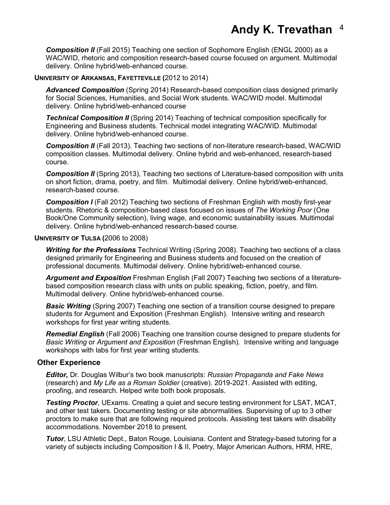**Composition II** (Fall 2015) Teaching one section of Sophomore English (ENGL 2000) as a WAC/WID, rhetoric and composition research-based course focused on argument. Multimodal delivery. Online hybrid/web-enhanced course.

#### **UNIVERSITY OF ARKANSAS, FAYETTEVILLE (**2012 to 2014)

 for Social Sciences, Humanities, and Social Work students. WAC/WID model. Multimodal *Advanced Composition* (Spring 2014) Research-based composition class designed primarily delivery. Online hybrid/web-enhanced course

 Engineering and Business students. Technical model integrating WAC/WID. Multimodal **Technical Composition II** (Spring 2014) Teaching of technical composition specifically for delivery. Online hybrid/web-enhanced course.

*Composition II* (Fall 2013). Teaching two sections of non-literature research-based, WAC/WID composition classes. Multimodal delivery. Online hybrid and web-enhanced, research-based course.

 on short fiction, drama, poetry, and film. Multimodal delivery. Online hybrid/web-enhanced, research-based course. **Composition II** (Spring 2013), Teaching two sections of Literature-based composition with units

**Composition I** (Fall 2012) Teaching two sections of Freshman English with mostly first-year students. Rhetoric & composition-based class focused on issues of *The Working Poor* (One Book/One Community selection), living wage, and economic sustainability issues. Multimodal delivery. Online hybrid/web-enhanced research-based course.

#### **UNIVERSITY OF TULSA (**2006 to 2008)

 *Writing for the Professions* Technical Writing (Spring 2008). Teaching two sections of a class designed primarily for Engineering and Business students and focused on the creation of professional documents. Multimodal delivery. Online hybrid/web-enhanced course.

 *Argument and Exposition* Freshman English (Fall 2007) Teaching two sections of a literature- based composition research class with units on public speaking, fiction, poetry, and film. Multimodal delivery. Online hybrid/web-enhanced course.

**Basic Writing** (Spring 2007) Teaching one section of a transition course designed to prepare students for Argument and Exposition (Freshman English). Intensive writing and research workshops for first year writing students.

 *Remedial English* (Fall 2006) Teaching one transition course designed to prepare students for *Basic Writing* or *Argument and Exposition* (Freshman English). Intensive writing and language workshops with labs for first year writing students.

#### **Other Experience**

*Editor,* Dr. Douglas Wilbur's two book manuscripts: *Russian Propaganda and Fake News*  (research) and *My Life as a Roman Soldier* (creative). 2019-2021. Assisted with editing, proofing, and research. Helped write both book proposals.

 and other test takers. Documenting testing or site abnormalities. Supervising of up to 3 other proctors to make sure that are following required protocols. Assisting test takers with disability *Testing Proctor*, UExams. Creating a quiet and secure testing environment for LSAT, MCAT, accommodations. November 2018 to present.

 variety of subjects including Composition I & II, Poetry, Major American Authors, HRM, HRE, *Tutor*, LSU Athletic Dept., Baton Rouge, Louisiana. Content and Strategy-based tutoring for a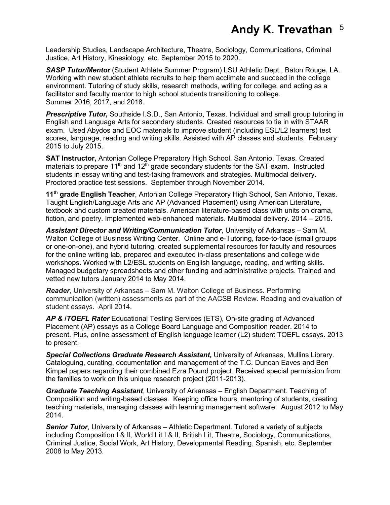Justice, Art History, Kinesiology, etc. September 2015 to 2020. Leadership Studies, Landscape Architecture, Theatre, Sociology, Communications, Criminal

 facilitator and faculty mentor to high school students transitioning to college. *SASP Tutor/Mentor* (Student Athlete Summer Program) LSU Athletic Dept., Baton Rouge, LA. Working with new student athlete recruits to help them acclimate and succeed in the college environment. Tutoring of study skills, research methods, writing for college, and acting as a Summer 2016, 2017, and 2018.

 *Prescriptive Tutor,* Southside I.S.D., San Antonio, Texas. Individual and small group tutoring in scores, language, reading and writing skills. Assisted with AP classes and students. February English and Language Arts for secondary students. Created resources to tie in with STAAR exam. Used Abydos and EOC materials to improve student (including ESL/L2 learners) test 2015 to July 2015.

 **SAT Instructor,** Antonian College Preparatory High School, San Antonio, Texas. Created materials to prepare 11<sup>th</sup> and 12<sup>th</sup> grade secondary students for the SAT exam. Instructed students in essay writing and test-taking framework and strategies. Multimodal delivery.<br>Proctored practice test sessions. September through November 2014. Proctored practice test sessions. September through November 2014.

 fiction, and poetry. Implemented web-enhanced materials. Multimodal delivery. 2014 – 2015. **11th grade English Teacher**, Antonian College Preparatory High School, San Antonio, Texas. Taught English/Language Arts and AP (Advanced Placement) using American Literature, textbook and custom created materials. American literature-based class with units on drama,

 Walton College of Business Writing Center. Online and e-Tutoring, face-to-face (small groups or one-on-one), and hybrid tutoring, created supplemental resources for faculty and resources *Assistant Director and Writing/Communication Tutor*, University of Arkansas – Sam M. for the online writing lab, prepared and executed in-class presentations and college wide workshops. Worked with L2/ESL students on English language, reading, and writing skills. Managed budgetary spreadsheets and other funding and administrative projects. Trained and vetted new tutors January 2014 to May 2014.

 student essays. April 2014. *Reader,* University of Arkansas – Sam M. Walton College of Business. Performing communication (written) assessments as part of the AACSB Review. Reading and evaluation of

 to present. *AP &* **/***TOEFL Rater* Educational Testing Services (ETS), On-site grading of Advanced Placement (AP) essays as a College Board Language and Composition reader. 2014 to present. Plus, online assessment of English language learner (L2) student TOEFL essays. 2013

*Special Collections Graduate Research Assistant,* University of Arkansas, Mullins Library. Cataloguing, curating, documentation and management of the T.C. Duncan Eaves and Ben Kimpel papers regarding their combined Ezra Pound project. Received special permission from the families to work on this unique research project (2011-2013).

 Composition and writing-based classes. Keeping office hours, mentoring of students, creating teaching materials, managing classes with learning management software. August 2012 to May *Graduate Teaching Assistant*, University of Arkansas – English Department. Teaching of 2014.

 including Composition I & II, World Lit I & II, British Lit, Theatre, Sociology, Communications, *Senior Tutor*, University of Arkansas – Athletic Department. Tutored a variety of subjects Criminal Justice, Social Work, Art History, Developmental Reading, Spanish, etc. September 2008 to May 2013.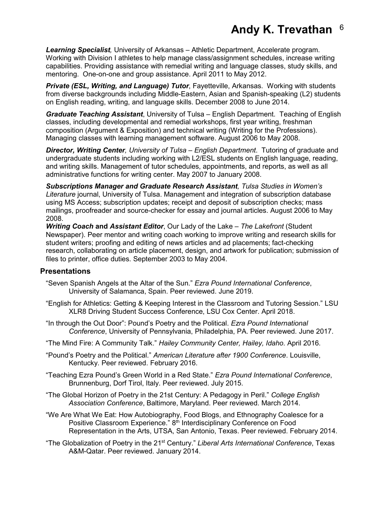capabilities. Providing assistance with remedial writing and language classes, study skills, and mentoring. One-on-one and group assistance. April 2011 to May 2012. *Learning Specialist,* University of Arkansas – Athletic Department, Accelerate program. Working with Division I athletes to help manage class/assignment schedules, increase writing

 from diverse backgrounds including Middle-Eastern, Asian and Spanish-speaking (L2) students *Private (ESL, Writing, and Language) Tutor*, Fayetteville, Arkansas. Working with students on English reading, writing, and language skills. December 2008 to June 2014.

 *Graduate Teaching Assistant*, University of Tulsa – English Department. Teaching of English composition (Argument & Exposition) and technical writing (Writing for the Professions). classes, including developmental and remedial workshops, first year writing, freshman Managing classes with learning management software. August 2006 to May 2008.

 undergraduate students including working with L2/ESL students on English language, reading, *Director, Writing Center, University of Tulsa – English Department*. Tutoring of graduate and and writing skills. Management of tutor schedules, appointments, and reports, as well as all administrative functions for writing center. May 2007 to January 2008.

*Subscriptions Manager and Graduate Research Assistant, Tulsa Studies in Women's Literature* journal, University of Tulsa. Management and integration of subscription database using MS Access; subscription updates; receipt and deposit of subscription checks; mass mailings, proofreader and source-checker for essay and journal articles. August 2006 to May 2008.

*Writing Coach* **and** *Assistant Editor*, Our Lady of the Lake – *The Lakefront* (Student Newspaper). Peer mentor and writing coach working to improve writing and research skills for student writers; proofing and editing of news articles and ad placements; fact-checking research, collaborating on article placement, design, and artwork for publication; submission of files to printer, office duties. September 2003 to May 2004.

#### **Presentations**

- "Seven Spanish Angels at the Altar of the Sun." *Ezra Pound International Conference*, University of Salamanca, Spain. Peer reviewed. June 2019.
- "English for Athletics: Getting & Keeping Interest in the Classroom and Tutoring Session." LSU XLR8 Driving Student Success Conference, LSU Cox Center. April 2018.
- "In through the Out Door": Pound's Poetry and the Political. *Ezra Pound International Conference*, University of Pennsylvania, Philadelphia, PA. Peer reviewed. June 2017.
- "The Mind Fire: A Community Talk." *Hailey Community Center, Hailey, Idaho*. April 2016.
- "Pound's Poetry and the Political." *American Literature after 1900 Conference*. Louisville, Kentucky. Peer reviewed. February 2016.
- Kentucky. Peer reviewed. February 2016. "Teaching Ezra Pound's Green World in a Red State." *Ezra Pound International Conference*, Brunnenburg, Dorf Tirol, Italy. Peer reviewed. July 2015.
- "The Global Horizon of Poetry in the 21st Century: A Pedagogy in Peril." *College English Association Conference*, Baltimore, Maryland. Peer reviewed. March 2014.
- "We Are What We Eat: How Autobiography, Food Blogs, and Ethnography Coalesce for a Positive Classroom Experience." 8<sup>th</sup> Interdisciplinary Conference on Food Representation in the Arts, UTSA, San Antonio, Texas. Peer reviewed. February 2014.
- "The Globalization of Poetry in the 21st Century." *Liberal Arts International Conference*, Texas A&M-Qatar. Peer reviewed. January 2014.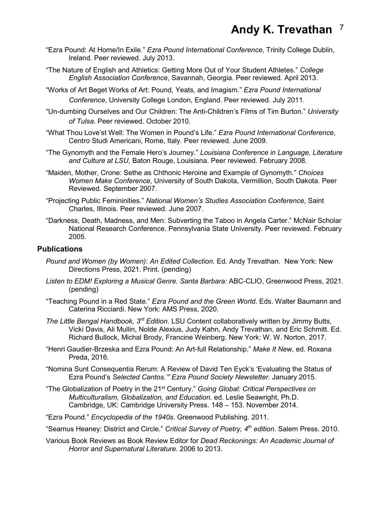- "Ezra Pound: At Home/In Exile." *Ezra Pound International Conference*, Trinity College Dublin, Ireland. Peer reviewed. July 2013.
- *English Association Conference*, Savannah, Georgia. Peer reviewed. April 2013. "The Nature of English and Athletics: Getting More Out of Your Student Athletes." *College*
- *Conference*, University College London, England. Peer reviewed. July 2011. "Works of Art Beget Works of Art: Pound, Yeats, and Imagism." *Ezra Pound International*
- "Un-dumbing Ourselves and Our Children: The Anti-Children's Films of Tim Burton." *University of Tulsa*. Peer reviewed. October 2010.
- "What Thou Love'st Well: The Women in Pound's Life." *Ezra Pound International Conference*, Centro Studi Americani, Rome, Italy. Peer reviewed. June 2009.
- "The Gynomyth and the Female Hero's Journey." *Louisiana Conference in Language, Literature and Culture at LSU*, Baton Rouge, Louisiana. Peer reviewed. February 2008.
- Reviewed. September 2007. "Maiden, Mother, Crone: Sethe as Chthonic Heroine and Example of Gynomyth." *Choices Women Make Conference*, University of South Dakota, Vermillion, South Dakota. Peer
- "Projecting Public Femininities." *National Women's Studies Association Conference*, Saint Charles, Illinois. Peer reviewed. June 2007.
- "Darkness, Death, Madness, and Men: Subverting the Taboo in Angela Carter." McNair Scholar National Research Conference. Pennsylvania State University. Peer reviewed. February 2005.

#### **Publications**

- *P*o*und and Women (by Women): An Edited Collection.* Ed. Andy Trevathan. New York: New Directions Press, 2021. Print. (pending)
- *Listen to EDM! Exploring a Musical Genre. Santa Barbara:* ABC-CLIO, Greenwood Press, 2021. (pending)
- "Teaching Pound in a Red State." *Ezra Pound and the Green World*. Eds. Walter Baumann and Caterina Ricciardi. New York: AMS Press, 2020.
- Richard Bullock, Michal Brody, Francine Weinberg. New York: W. W. Norton, 2017. *The Little Bengal Handbook, 3rd Edition*. LSU Content collaboratively written by Jimmy Butts, Vicki Davis, Ali Mullin, Nolde Alexius, Judy Kahn, Andy Trevathan, and Eric Schmitt. Ed.
- Preda, 2016. "Henri Gaudier-Brzeska and Ezra Pound: An Art-full Relationship." *Make It New*, ed. Roxana
- "Nomina Sunt Consequentia Rerum: A Review of David Ten Eyck's 'Evaluating the Status of Ezra Pound's *Selected Cantos.'" Ezra Pound Society Newsletter.* January 2015*.*
- "The Globalization of Poetry in the 21st Century." *Going Global: Critical Perspectives on Multiculturalism, Globalization, and Education*. ed. Leslie Seawright, Ph.D. Cambridge, UK: Cambridge University Press. 148 – 153. November 2014.
- "Ezra Pound." *Encyclopedia of the 1940s*. Greenwood Publishing. 2011.
- "Seamus Heaney: District and Circle." *Critical Survey of Poetry, 4th edition*. Salem Press. 2010.
- Various Book Reviews as Book Review Editor for *Dead Reckonings: An Academic Journal of Horror and Supernatural Literature*. 2006 to 2013.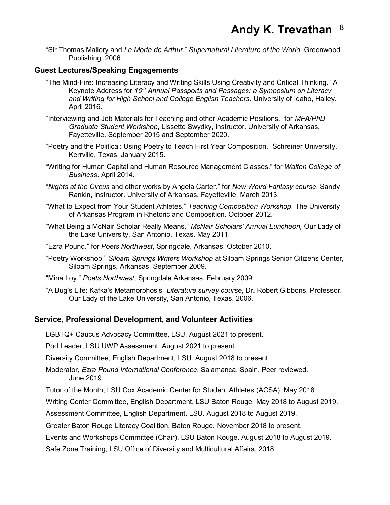"Sir Thomas Mallory and *Le Morte de Arthur*." *Supernatural Literature of the World*. Greenwood Publishing. 2006.

#### **Guest Lectures/Speaking Engagements**

- "The Mind-Fire: Increasing Literacy and Writing Skills Using Creativity and Critical Thinking." A  Keynote Address for *10th Annual Passports and Passages: a Symposium on Literacy and Writing for High School and College English Teachers*. University of Idaho, Hailey. April 2016.
- *Graduate Student Workshop*, Lissette Swydky, instructor. University of Arkansas, "Interviewing and Job Materials for Teaching and other Academic Positions." for *MFA/PhD*  Fayetteville. September 2015 and September 2020.
- Kerrville, Texas. January 2015. "Poetry and the Political: Using Poetry to Teach First Year Composition." Schreiner University,
- "Writing for Human Capital and Human Resource Management Classes." for *Walton College of Business*. April 2014.
- "*Nights at the Circus* and other works by Angela Carter." for *New Weird Fantasy course*, Sandy Rankin, instructor. University of Arkansas, Fayetteville. March 2013.
- "What to Expect from Your Student Athletes." *Teaching Composition Workshop*, The University of Arkansas Program in Rhetoric and Composition. October 2012.
- "What Being a McNair Scholar Really Means." *McNair Scholars' Annual Luncheon,* Our Lady of the Lake University, San Antonio, Texas. May 2011.
- "Ezra Pound." for *Poets Northwest*, Springdale, Arkansas. October 2010.
- "Poetry Workshop." *Siloam Springs Writers Workshop* at Siloam Springs Senior Citizens Center, Siloam Springs, Arkansas. September 2009.
- "Mina Loy." *Poets Northwest*, Springdale Arkansas. February 2009.
- Our Lady of the Lake University, San Antonio, Texas. 2006. "A Bug's Life: Kafka's Metamorphosis" *Literature survey course*, Dr. Robert Gibbons, Professor.

#### **Service, Professional Development, and Volunteer Activities**

LGBTQ+ Caucus Advocacy Committee, LSU. August 2021 to present.

Pod Leader, LSU UWP Assessment. August 2021 to present.

Diversity Committee, English Department, LSU. August 2018 to present

Moderator, *Ezra Pound International Conference*, Salamanca, Spain. Peer reviewed. June 2019.

Tutor of the Month, LSU Cox Academic Center for Student Athletes (ACSA). May 2018

Writing Center Committee, English Department, LSU Baton Rouge. May 2018 to August 2019.

Assessment Committee, English Department, LSU. August 2018 to August 2019.

Greater Baton Rouge Literacy Coalition, Baton Rouge. November 2018 to present.

Events and Workshops Committee (Chair), LSU Baton Rouge. August 2018 to August 2019.

Safe Zone Training, LSU Office of Diversity and Multicultural Affairs, 2018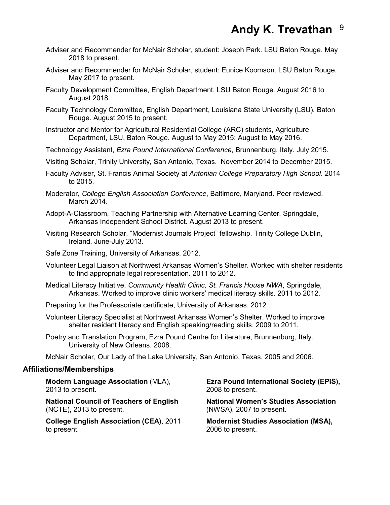- Adviser and Recommender for McNair Scholar, student: Joseph Park. LSU Baton Rouge. May 2018 to present.
- Adviser and Recommender for McNair Scholar, student: Eunice Koomson. LSU Baton Rouge. May 2017 to present.
- Faculty Development Committee, English Department, LSU Baton Rouge. August 2016 to August 2018.
- Faculty Technology Committee, English Department, Louisiana State University (LSU), Baton Rouge. August 2015 to present.
- Instructor and Mentor for Agricultural Residential College (ARC) students, Agriculture Department, LSU, Baton Rouge. August to May 2015; August to May 2016.
- Technology Assistant, *Ezra Pound International Conference*, Brunnenburg, Italy. July 2015.
- Visiting Scholar, Trinity University, San Antonio, Texas. November 2014 to December 2015.
- Faculty Adviser, St. Francis Animal Society at *Antonian College Preparatory High School*. 2014 to 2015.
- Moderator, *College English Association Conference*, Baltimore, Maryland. Peer reviewed. March 2014.
- Adopt-A-Classroom, Teaching Partnership with Alternative Learning Center, Springdale, Arkansas Independent School District. August 2013 to present.
- Visiting Research Scholar, "Modernist Journals Project" fellowship, Trinity College Dublin, Ireland. June-July 2013.
- Safe Zone Training, University of Arkansas. 2012.
- Volunteer Legal Liaison at Northwest Arkansas Women's Shelter. Worked with shelter residents to find appropriate legal representation. 2011 to 2012.
- Medical Literacy Initiative, *Community Health Clinic, St. Francis House NWA*, Springdale, Arkansas. Worked to improve clinic workers' medical literacy skills. 2011 to 2012.
- Preparing for the Professoriate certificate, University of Arkansas. 2012
- Volunteer Literacy Specialist at Northwest Arkansas Women's Shelter. Worked to improve shelter resident literacy and English speaking/reading skills. 2009 to 2011.
- Poetry and Translation Program, Ezra Pound Centre for Literature, Brunnenburg, Italy. University of New Orleans. 2008.

McNair Scholar, Our Lady of the Lake University, San Antonio, Texas. 2005 and 2006.

#### **Affiliations/Memberships**

2013 to present. 2008 to present.

**National Council of Teachers of English National Women's Studies Association**  (NCTE), 2013 to present. (NWSA), 2007 to present.

**College English Association (CEA), 2011** to present. 2006 to present.

**Modern Language Association** (MLA), **Ezra Pound International Society (EPIS),** 

**Modernist Studies Association (MSA),**